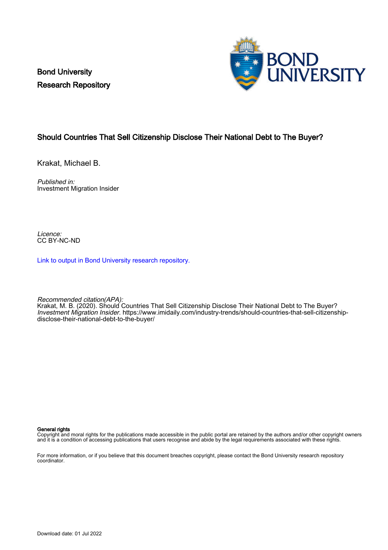Bond University Research Repository



#### Should Countries That Sell Citizenship Disclose Their National Debt to The Buyer?

Krakat, Michael B.

Published in: Investment Migration Insider

Licence: CC BY-NC-ND

[Link to output in Bond University research repository.](https://research.bond.edu.au/en/publications/c090fb0c-78f5-4bc1-b5ff-9b76d75a6ae8)

Recommended citation(APA):

Krakat, M. B. (2020). Should Countries That Sell Citizenship Disclose Their National Debt to The Buyer? Investment Migration Insider. [https://www.imidaily.com/industry-trends/should-countries-that-sell-citizenship](https://www.imidaily.com/industry-trends/should-countries-that-sell-citizenship-disclose-their-national-debt-to-the-buyer/)[disclose-their-national-debt-to-the-buyer/](https://www.imidaily.com/industry-trends/should-countries-that-sell-citizenship-disclose-their-national-debt-to-the-buyer/)

#### General rights

Copyright and moral rights for the publications made accessible in the public portal are retained by the authors and/or other copyright owners and it is a condition of accessing publications that users recognise and abide by the legal requirements associated with these rights.

For more information, or if you believe that this document breaches copyright, please contact the Bond University research repository coordinator.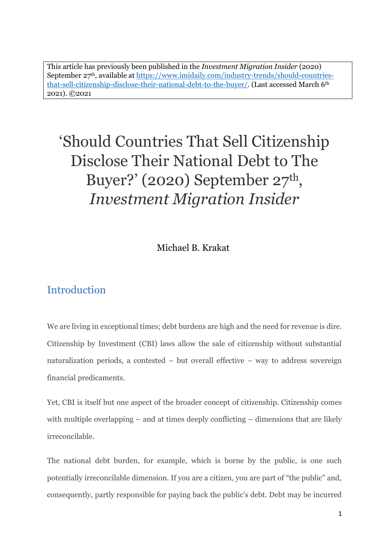This article has previously been published in the *Investment Migration Insider* (2020) September 27th, available at https://www.imidaily.com/industry-trends/should-countriesthat-sell-citizenship-disclose-their-national-debt-to-the-buyer/. (Last accessed March 6th 2021). ©2021

# 'Should Countries That Sell Citizenship Disclose Their National Debt to The Buyer?' (2020) September 27<sup>th</sup>, *Investment Migration Insider*

Michael B. Krakat

### **Introduction**

We are living in exceptional times; debt burdens are high and the need for revenue is dire. Citizenship by Investment (CBI) laws allow the sale of citizenship without substantial naturalization periods, a contested – but overall effective – way to address sovereign financial predicaments.

Yet, CBI is itself but one aspect of the broader concept of citizenship. Citizenship comes with multiple overlapping  $-$  and at times deeply conflicting  $-$  dimensions that are likely irreconcilable.

The national debt burden, for example, which is borne by the public, is one such potentially irreconcilable dimension. If you are a citizen, you are part of "the public" and, consequently, partly responsible for paying back the public's debt. Debt may be incurred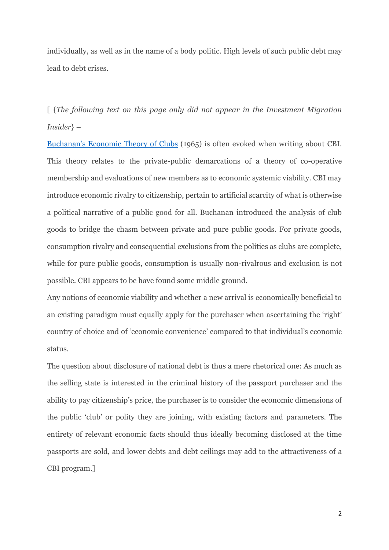individually, as well as in the name of a body politic. High levels of such public debt may lead to debt crises.

[ {*The following text on this page only did not appear in the Investment Migration Insider*} –

Buchanan's [Economic Theory of Clubs](https://www.jstor.org/stable/2552442?seq=1#metadata_info_tab_contents) (1965) is often evoked when writing about CBI. This theory relates to the private-public demarcations of a theory of co-operative membership and evaluations of new members as to economic systemic viability. CBI may introduce economic rivalry to citizenship, pertain to artificial scarcity of what is otherwise a political narrative of a public good for all. Buchanan introduced the analysis of club goods to bridge the chasm between private and pure public goods. For private goods, consumption rivalry and consequential exclusions from the polities as clubs are complete, while for pure public goods, consumption is usually non-rivalrous and exclusion is not possible. CBI appears to be have found some middle ground.

Any notions of economic viability and whether a new arrival is economically beneficial to an existing paradigm must equally apply for the purchaser when ascertaining the 'right' country of choice and of 'economic convenience' compared to that individual's economic status.

The question about disclosure of national debt is thus a mere rhetorical one: As much as the selling state is interested in the criminal history of the passport purchaser and the ability to pay citizenship's price, the purchaser is to consider the economic dimensions of the public 'club' or polity they are joining, with existing factors and parameters. The entirety of relevant economic facts should thus ideally becoming disclosed at the time passports are sold, and lower debts and debt ceilings may add to the attractiveness of a CBI program.]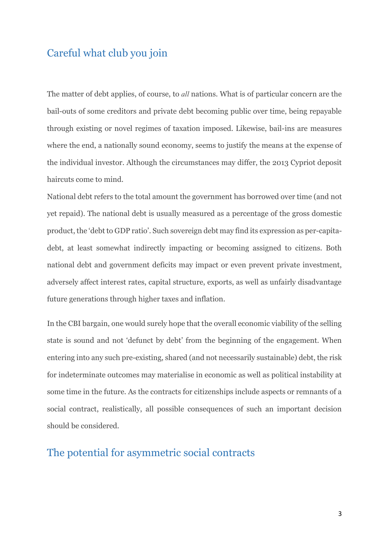#### Careful what club you join

The matter of debt applies, of course, to *all* nations. What is of particular concern are the bail-outs of some creditors and private debt becoming public over time, being repayable through existing or novel regimes of taxation imposed. Likewise, bail-ins are measures where the end, a nationally sound economy, seems to justify the means at the expense of the individual investor. Although the circumstances may differ, the 2013 Cypriot deposit haircuts come to mind.

National debt refers to the total amount the government has borrowed over time (and not yet repaid). The national debt is usually measured as a percentage of the gross domestic product, the 'debt to GDP ratio'. Such sovereign debt may find its expression as per-capitadebt, at least somewhat indirectly impacting or becoming assigned to citizens. Both national debt and government deficits may impact or even prevent private investment, adversely affect interest rates, capital structure, exports, as well as unfairly disadvantage future generations through higher taxes and inflation.

In the CBI bargain, one would surely hope that the overall economic viability of the selling state is sound and not 'defunct by debt' from the beginning of the engagement. When entering into any such pre-existing, shared (and not necessarily sustainable) debt, the risk for indeterminate outcomes may materialise in economic as well as political instability at some time in the future. As the contracts for citizenships include aspects or remnants of a social contract, realistically, all possible consequences of such an important decision should be considered.

#### The potential for asymmetric social contracts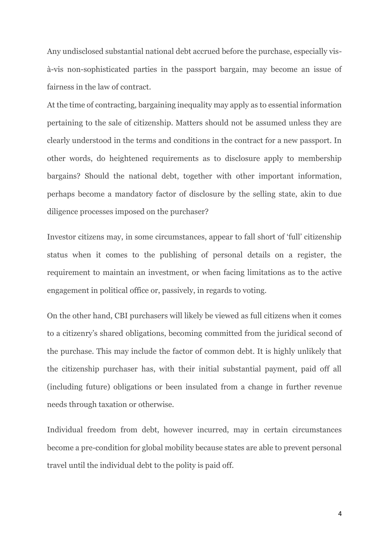Any undisclosed substantial national debt accrued before the purchase, especially visà-vis non-sophisticated parties in the passport bargain, may become an issue of fairness in the law of contract.

At the time of contracting, bargaining inequality may apply as to essential information pertaining to the sale of citizenship. Matters should not be assumed unless they are clearly understood in the terms and conditions in the contract for a new passport. In other words, do heightened requirements as to disclosure apply to membership bargains? Should the national debt, together with other important information, perhaps become a mandatory factor of disclosure by the selling state, akin to due diligence processes imposed on the purchaser?

Investor citizens may, in some circumstances, appear to fall short of 'full' citizenship status when it comes to the publishing of personal details on a register, the requirement to maintain an investment, or when facing limitations as to the active engagement in political office or, passively, in regards to voting.

On the other hand, CBI purchasers will likely be viewed as full citizens when it comes to a citizenry's shared obligations, becoming committed from the juridical second of the purchase. This may include the factor of common debt. It is highly unlikely that the citizenship purchaser has, with their initial substantial payment, paid off all (including future) obligations or been insulated from a change in further revenue needs through taxation or otherwise.

Individual freedom from debt, however incurred, may in certain circumstances become a pre-condition for global mobility because states are able to prevent personal travel until the individual debt to the polity is paid off.

4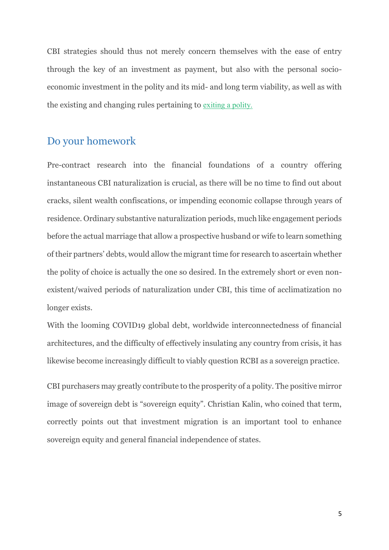CBI strategies should thus not merely concern themselves with the ease of entry through the key of an investment as payment, but also with the personal socioeconomic investment in the polity and its mid- and long term viability, as well as with the existing and changing rules pertaining to [exiting](https://www.imidaily.com/north-america/record-numbers-of-americans-renouncing-citizenships-has-nothing-to-do-with-the-pandemic/) a polity.

#### Do your homework

Pre-contract research into the financial foundations of a country offering instantaneous CBI naturalization is crucial, as there will be no time to find out about cracks, silent wealth confiscations, or impending economic collapse through years of residence. Ordinary substantive naturalization periods, much like engagement periods before the actual marriage that allow a prospective husband or wife to learn something of their partners' debts, would allow the migrant time for research to ascertain whether the polity of choice is actually the one so desired. In the extremely short or even nonexistent/waived periods of naturalization under CBI, this time of acclimatization no longer exists.

With the looming COVID19 global debt, worldwide interconnectedness of financial architectures, and the difficulty of effectively insulating any country from crisis, it has likewise become increasingly difficult to viably question RCBI as a sovereign practice.

CBI purchasers may greatly contribute to the prosperity of a polity. The positive mirror image of sovereign debt is "sovereign equity". Christian Kalin, who coined that term, correctly points out that investment migration is an important tool to enhance sovereign equity and general financial independence of states.